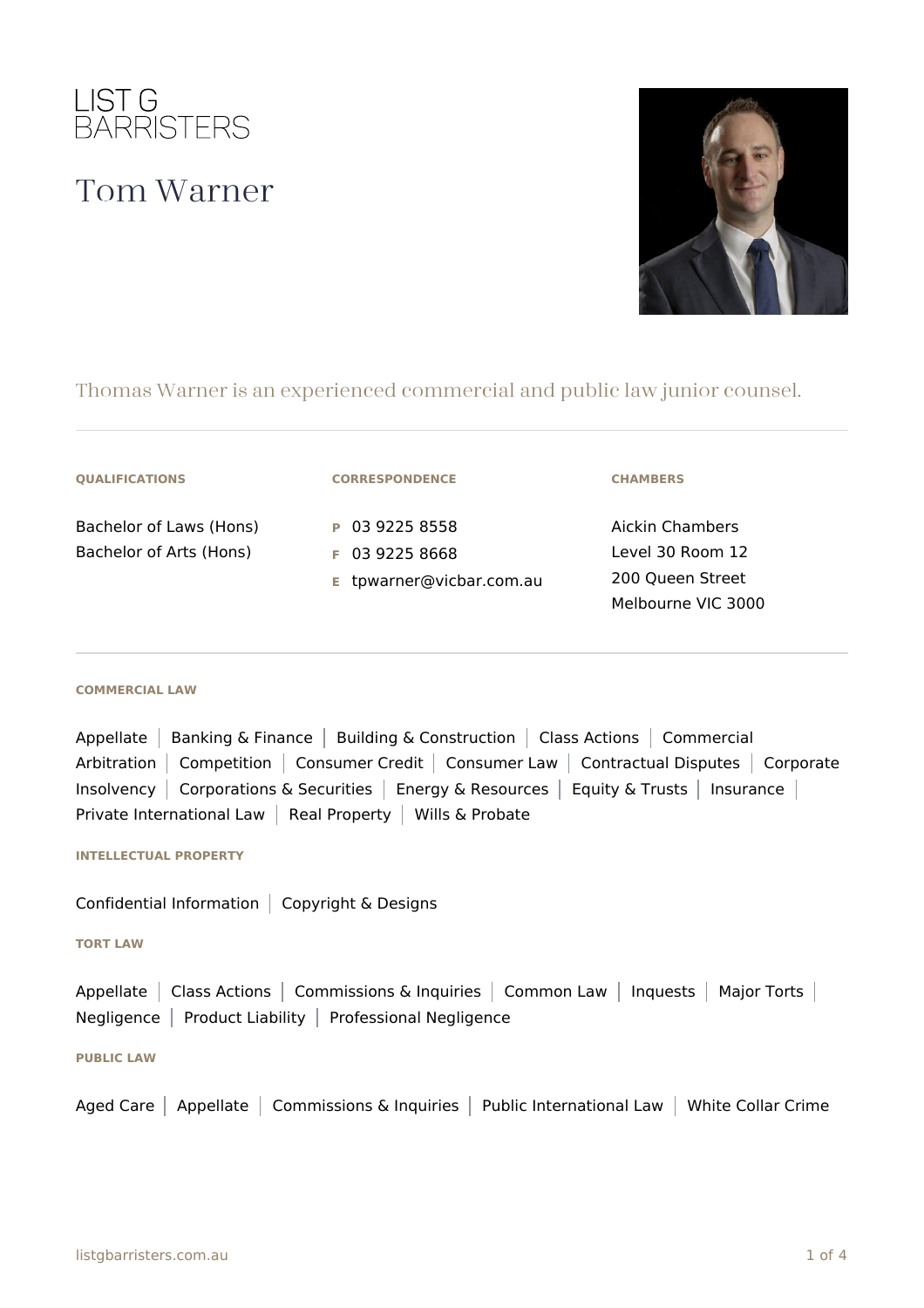

# Tom Warner



# Thomas Warner is an experienced commercial and public law junior counsel.

#### **QUALIFICATIONS**

Bachelor of Laws (Hons) Bachelor of Arts (Hons)

## **CORRESPONDENCE**

**P** 03 9225 8558 **F** 03 9225 8668

**E** tpwarner@vicbar.com.au

#### **CHAMBERS**

Aickin Chambers Level 30 Room 12 200 Queen Street Melbourne VIC 3000

#### **COMMERCIAL LAW**

Appellate | Banking & Finance | Building & Construction | Class Actions | Commercial Arbitration | Competition | Consumer Credit | Consumer Law | Contractual Disputes | Corporate Insolvency | Corporations & Securities | Energy & Resources | Equity & Trusts | Insurance | Private International Law | Real Property | Wills & Probate

#### **INTELLECTUAL PROPERTY**

Confidential Information  $\vert$  Copyright & Designs

#### **TORT LAW**

Appellate | Class Actions | Commissions & Inquiries | Common Law | Inquests | Major Torts | Negligence | Product Liability | Professional Negligence

#### **PUBLIC LAW**

Aged Care | Appellate | Commissions & Inquiries | Public International Law | White Collar Crime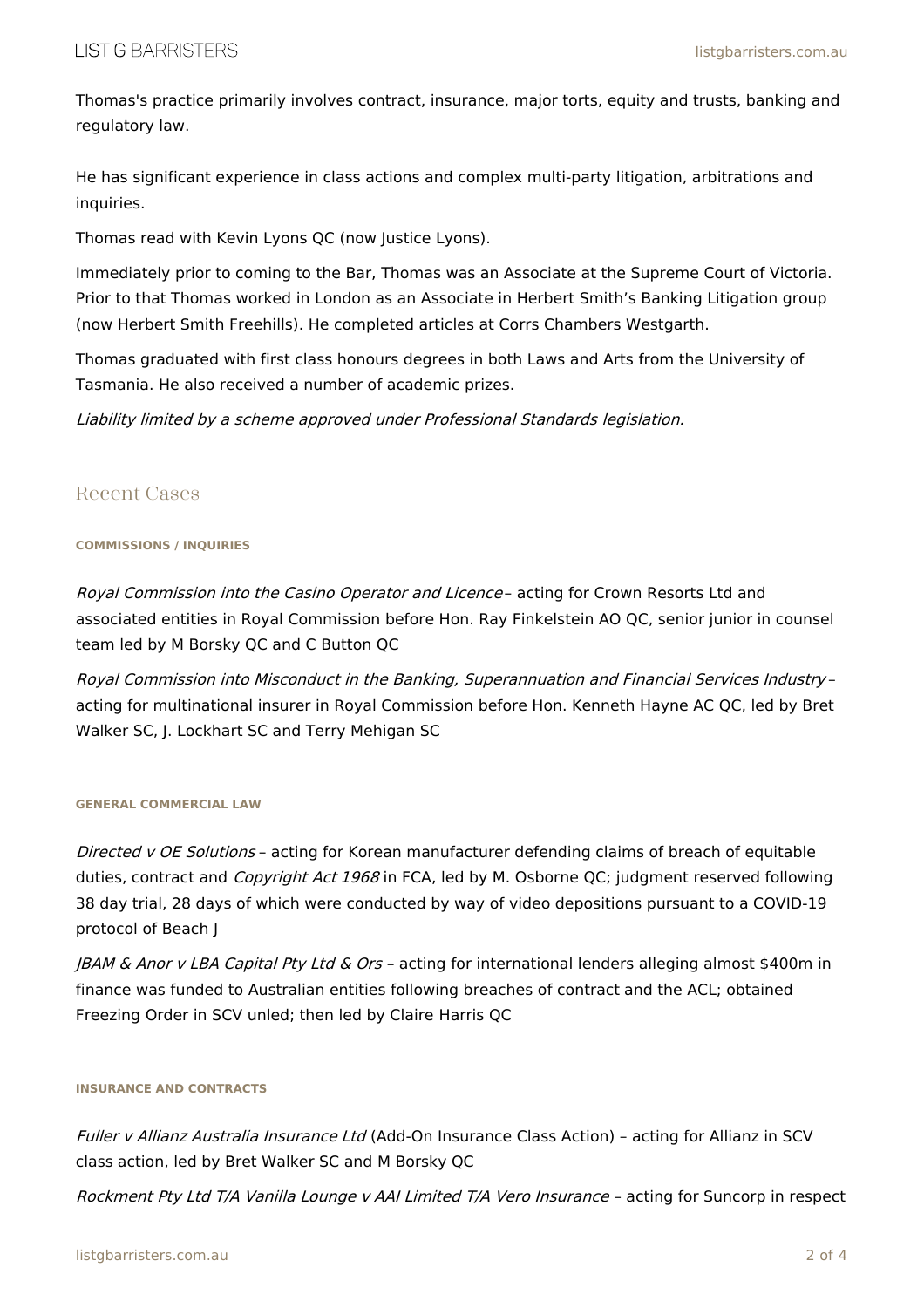Thomas's practice primarily involves contract, insurance, major torts, equity and trusts, banking and regulatory law.

He has significant experience in class actions and complex multi-party litigation, arbitrations and inquiries.

Thomas read with Kevin Lyons QC (now Justice Lyons).

Immediately prior to coming to the Bar, Thomas was an Associate at the Supreme Court of Victoria. Prior to that Thomas worked in London as an Associate in Herbert Smith's Banking Litigation group (now Herbert Smith Freehills). He completed articles at Corrs Chambers Westgarth.

Thomas graduated with first class honours degrees in both Laws and Arts from the University of Tasmania. He also received a number of academic prizes.

Liability limited by <sup>a</sup> scheme approved under Professional Standards legislation.

## Recent Cases

#### **COMMISSIONS / INQUIRIES**

Royal Commission into the Casino Operator and Licence- acting for Crown Resorts Ltd and associated entities in Royal Commission before Hon. Ray Finkelstein AO QC, senior junior in counsel team led by M Borsky QC and C Button QC

Royal Commission into Misconduct in the Banking, Superannuation and Financial Services Industry – acting for multinational insurer in Royal Commission before Hon. Kenneth Hayne AC QC, led by Bret Walker SC, J. Lockhart SC and Terry Mehigan SC

#### **GENERAL COMMERCIAL LAW**

Directed v OE Solutions - acting for Korean manufacturer defending claims of breach of equitable duties, contract and *Copyright Act 1968* in FCA, led by M. Osborne QC; judgment reserved following 38 day trial, 28 days of which were conducted by way of video depositions pursuant to a COVID-19 protocol of Beach J

JBAM & Anor <sup>v</sup> LBA Capital Pty Ltd & Ors – acting for international lenders alleging almost \$400m in finance was funded to Australian entities following breaches of contract and the ACL; obtained Freezing Order in SCV unled; then led by Claire Harris QC

#### **INSURANCE AND CONTRACTS**

Fuller <sup>v</sup> Allianz Australia Insurance Ltd (Add-On Insurance Class Action) – acting for Allianz in SCV class action, led by Bret Walker SC and M Borsky QC

Rockment Pty Ltd T/A Vanilla Lounge <sup>v</sup> AAI Limited T/A Vero Insurance – acting for Suncorp in respect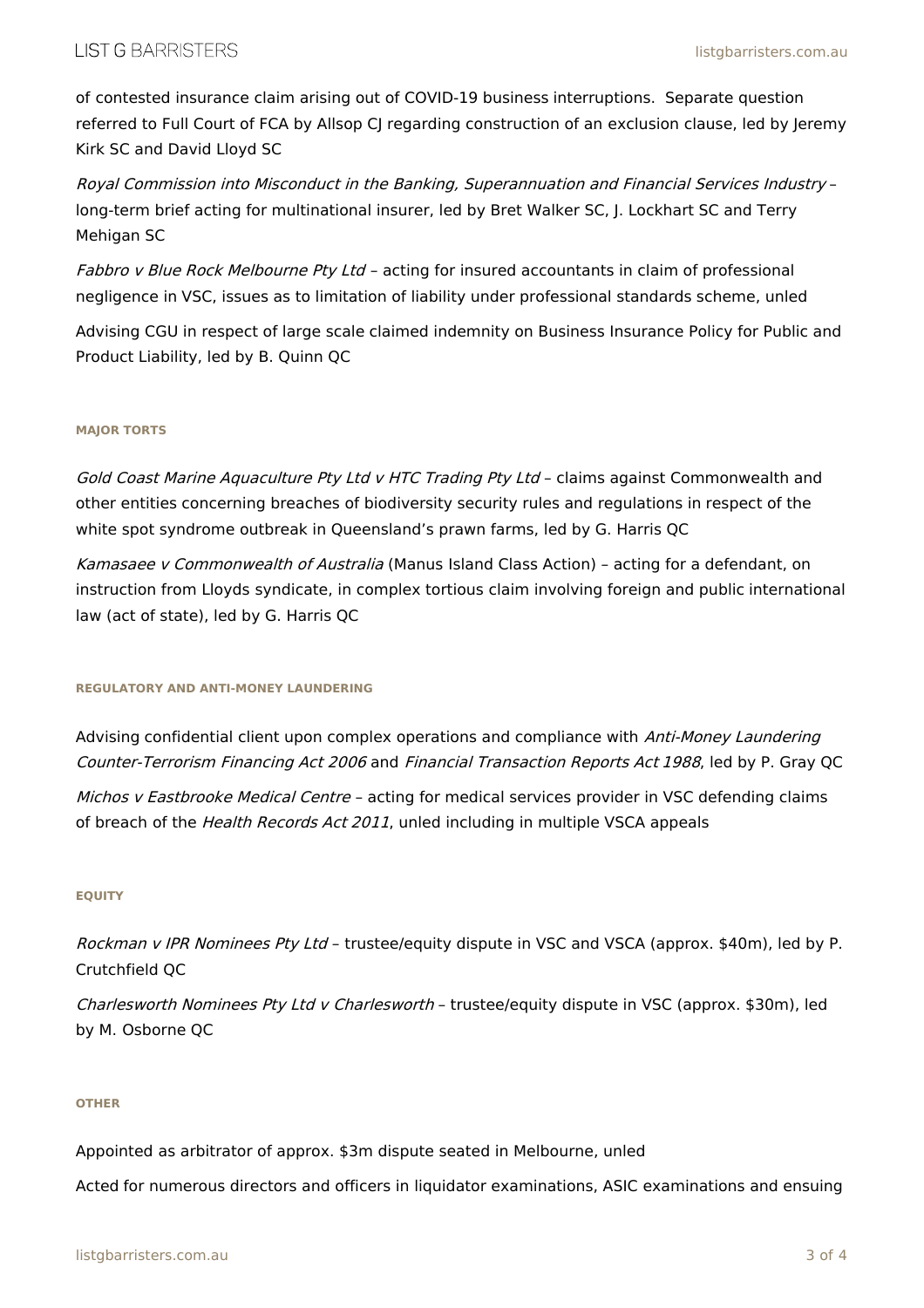of contested insurance claim arising out of COVID-19 business interruptions. Separate question referred to Full Court of FCA by Allsop CJ regarding construction of an exclusion clause, led by Jeremy Kirk SC and David Lloyd SC

Royal Commission into Misconduct in the Banking, Superannuation and Financial Services Industry – long-term brief acting for multinational insurer, led by Bret Walker SC, J. Lockhart SC and Terry Mehigan SC

Fabbro v Blue Rock Melbourne Pty Ltd - acting for insured accountants in claim of professional negligence in VSC, issues as to limitation of liability under professional standards scheme, unled

Advising CGU in respect of large scale claimed indemnity on Business Insurance Policy for Public and Product Liability, led by B. Quinn QC

### **MAJOR TORTS**

Gold Coast Marine Aquaculture Pty Ltd v HTC Trading Pty Ltd - claims against Commonwealth and other entities concerning breaches of biodiversity security rules and regulations in respect of the white spot syndrome outbreak in Queensland's prawn farms, led by G. Harris QC

Kamasaee v Commonwealth of Australia (Manus Island Class Action) - acting for a defendant, on instruction from Lloyds syndicate, in complex tortious claim involving foreign and public international law (act of state), led by G. Harris QC

#### **REGULATORY AND ANTI-MONEY LAUNDERING**

Advising confidential client upon complex operations and compliance with Anti-Money Laundering Counter-Terrorism Financing Act 2006 and Financial Transaction Reports Act 1988, led by P. Gray QC

Michos v Eastbrooke Medical Centre - acting for medical services provider in VSC defending claims of breach of the Health Records Act 2011, unled including in multiple VSCA appeals

#### **EQUITY**

Rockman v IPR Nominees Pty Ltd - trustee/equity dispute in VSC and VSCA (approx. \$40m), led by P. Crutchfield QC

Charlesworth Nominees Pty Ltd v Charlesworth - trustee/equity dispute in VSC (approx. \$30m), led by M. Osborne QC

#### **OTHER**

Appointed as arbitrator of approx. \$3m dispute seated in Melbourne, unled

Acted for numerous directors and officers in liquidator examinations, ASIC examinations and ensuing